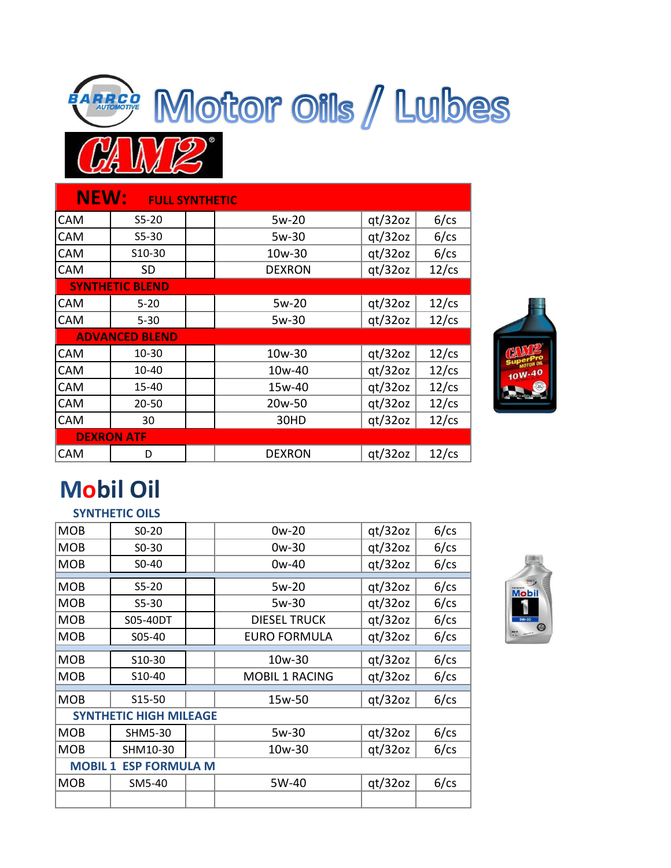

| <b>NEW:</b> |                        | <b>FULL SYNTHETIC</b> |               |         |             |
|-------------|------------------------|-----------------------|---------------|---------|-------------|
| CAM         | $S5-20$                |                       | 5w-20         | qt/32oz | $6$ /cs     |
| CAM         | $S5-30$                |                       | 5w-30         | qt/32oz | 6/cs        |
| CAM         | S10-30                 |                       | 10w-30        | qt/32oz | $6$ /cs     |
| <b>CAM</b>  | <b>SD</b>              |                       | <b>DEXRON</b> | qt/32oz | $12$ /cs    |
|             | <b>SYNTHETIC BLEND</b> |                       |               |         |             |
| CAM         | $5 - 20$               |                       | 5w-20         | qt/32oz | $12$ /cs    |
| CAM         | $5 - 30$               |                       | $5w-30$       | qt/32oz | $12$ /cs    |
|             | <b>ADVANCED BLEND</b>  |                       |               |         |             |
| CAM         | $10 - 30$              |                       | 10w-30        | qt/32oz | $12$ /cs    |
| CAM         | 10-40                  |                       | 10w-40        | qt/32oz | $12$ / $cs$ |
| CAM         | 15-40                  |                       | 15w-40        | qt/32oz | $12$ /cs    |
| CAM         | 20-50                  |                       | 20w-50        | qt/32oz | $12$ /cs    |
| CAM         | 30                     |                       | 30HD          | qt/32oz | $12$ /cs    |
|             | <b>DEXRON ATF</b>      |                       |               |         |             |
| <b>CAM</b>  | D                      |                       | <b>DEXRON</b> | qt/32oz | $12$ / $cs$ |



# **Mobil Oil**

#### **SYNTHETIC OILS**

| <b>MOB</b>     | $S0$ -20                      | $0w-20$               | qt/32oz | 6/cs    |
|----------------|-------------------------------|-----------------------|---------|---------|
| <b>MOB</b>     | $S0-30$                       | $0w-30$               | qt/32oz | $6$ /cs |
| MOB            | $S0-40$                       | $0w-40$               | qt/32oz | 6/cs    |
|                |                               |                       |         |         |
| <b>MOB</b>     | $S5-20$                       | $5w-20$               | qt/32oz | 6/cs    |
| <b>MOB</b>     | $S5-30$                       | $5w-30$               | qt/32oz | 6/cs    |
| <b>MOB</b>     | S05-40DT                      | <b>DIESEL TRUCK</b>   | qt/32oz | 6/cs    |
| <b>MOB</b>     | S05-40                        | <b>EURO FORMULA</b>   | qt/32oz | 6/cs    |
|                |                               |                       |         |         |
| <b>MOB</b>     | S10-30                        | 10w-30                | qt/32oz | 6/cs    |
| <b>MOB</b>     | S10-40                        | <b>MOBIL 1 RACING</b> | qt/32oz | 6/cs    |
|                |                               |                       |         |         |
| <b>MOB</b>     | S15-50                        | 15w-50                | qt/32oz | 6/cs    |
|                | <b>SYNTHETIC HIGH MILEAGE</b> |                       |         |         |
| <b>MOB</b>     | <b>SHM5-30</b>                | 5w-30                 | qt/32oz | 6/cs    |
| <b>MOB</b>     | SHM10-30                      | 10w-30                | qt/32oz | 6/cs    |
| <b>MOBIL 1</b> | <b>ESP FORMULA M</b>          |                       |         |         |
| <b>MOB</b>     | SM5-40                        | 5W-40                 | qt/32oz | 6/cs    |
|                |                               |                       |         |         |

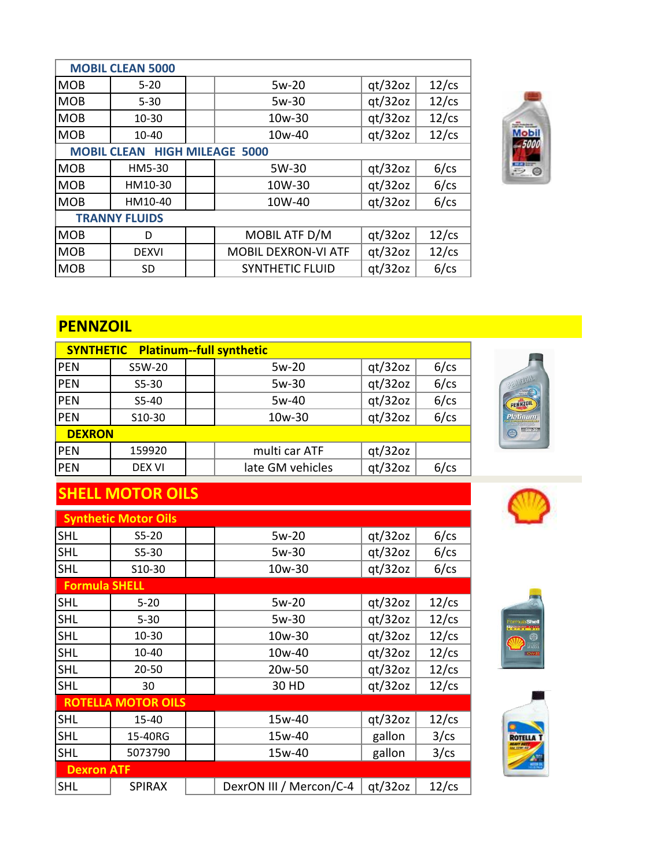|                      | <b>MOBIL CLEAN 5000</b> |  |                            |         |             |  |
|----------------------|-------------------------|--|----------------------------|---------|-------------|--|
| <b>MOB</b>           | $5 - 20$                |  | 5w-20                      | qt/32oz | $12$ / $cs$ |  |
| <b>IMOB</b>          | $5 - 30$                |  | $5w-30$                    | qt/32oz | $12$ /cs    |  |
| <b>MOB</b>           | $10 - 30$               |  | $10w - 30$                 | qt/32oz | $12$ /cs    |  |
| <b>MOB</b>           | 10-40                   |  | 10w-40                     | qt/32oz | $12$ /cs    |  |
| <b>MOBIL CLEAN</b>   |                         |  | <b>HIGH MILEAGE 5000</b>   |         |             |  |
| <b>MOB</b>           | HM5-30                  |  | 5W-30                      | qt/32oz | $6$ /cs     |  |
| <b>MOB</b>           | HM10-30                 |  | 10W-30                     | qt/32oz | 6/cs        |  |
| <b>MOB</b>           | HM10-40                 |  | 10W-40                     | qt/32oz | 6/cs        |  |
| <b>TRANNY FLUIDS</b> |                         |  |                            |         |             |  |
| <b>MOB</b>           | D                       |  | MOBIL ATF D/M              | qt/32oz | $12$ /cs    |  |
| <b>MOB</b>           | <b>DEXVI</b>            |  | <b>MOBIL DEXRON-VI ATF</b> | qt/32oz | $12$ /cs    |  |
| <b>MOB</b>           | <b>SD</b>               |  | SYNTHETIC FLUID            | qt/32oz | 6/cs        |  |



#### **PENNZOIL**

|               | <b>SYNTHETIC</b> Platinum-full synthetic |                  |         |      |
|---------------|------------------------------------------|------------------|---------|------|
| <b>PEN</b>    | S5W-20                                   | $5w-20$          | qt/32oz | 6/cs |
| <b>PEN</b>    | $S5-30$                                  | 5w-30            | qt/32oz | 6/cs |
| <b>PEN</b>    | $S5-40$                                  | 5w-40            | qt/32oz | 6/cs |
| <b>PEN</b>    | S10-30                                   | $10w - 30$       | qt/32oz | 6/cs |
| <b>DEXRON</b> |                                          |                  |         |      |
| <b>PEN</b>    | 159920                                   | multi car ATF    | qt/32oz |      |
| <b>PEN</b>    | <b>DEX VI</b>                            | late GM vehicles | qt/32oz | 6/cs |

## **SHELL MOTOR OILS**

|                      | <b>Synthetic Motor Oils</b> |                         |         |          |
|----------------------|-----------------------------|-------------------------|---------|----------|
| <b>SHL</b>           | $S5-20$                     | 5w-20                   | qt/32oz | $6$ /cs  |
| <b>SHL</b>           | $S5-30$                     | 5w-30                   | qt/32oz | 6/cs     |
| <b>SHL</b>           | S10-30                      | 10w-30                  | qt/32oz | 6/cs     |
| <b>Formula SHELL</b> |                             |                         |         |          |
| <b>SHL</b>           | $5 - 20$                    | 5w-20                   | qt/32oz | $12$ /cs |
| <b>SHL</b>           | $5 - 30$                    | 5w-30                   | qt/32oz | $12$ /cs |
| <b>SHL</b>           | 10-30                       | 10w-30                  | qt/32oz | $12$ /cs |
| <b>SHL</b>           | 10-40                       | 10w-40                  | qt/32oz | $12$ /cs |
| <b>SHL</b>           | 20-50                       | 20w-50                  | qt/32oz | $12$ /cs |
| <b>SHL</b>           | 30                          | 30 HD                   | qt/32oz | $12$ /cs |
|                      | <b>ROTELLA MOTOR OILS</b>   |                         |         |          |
| <b>SHL</b>           | 15-40                       | 15w-40                  | qt/32oz | $12$ /cs |
| <b>SHL</b>           | 15-40RG                     | 15w-40                  | gallon  | 3/cs     |
| <b>SHL</b>           | 5073790                     | 15w-40                  | gallon  | 3/cs     |
| <b>Dexron ATF</b>    |                             |                         |         |          |
| <b>SHL</b>           | <b>SPIRAX</b>               | DexrON III / Mercon/C-4 | qt/32oz | $12$ /cs |







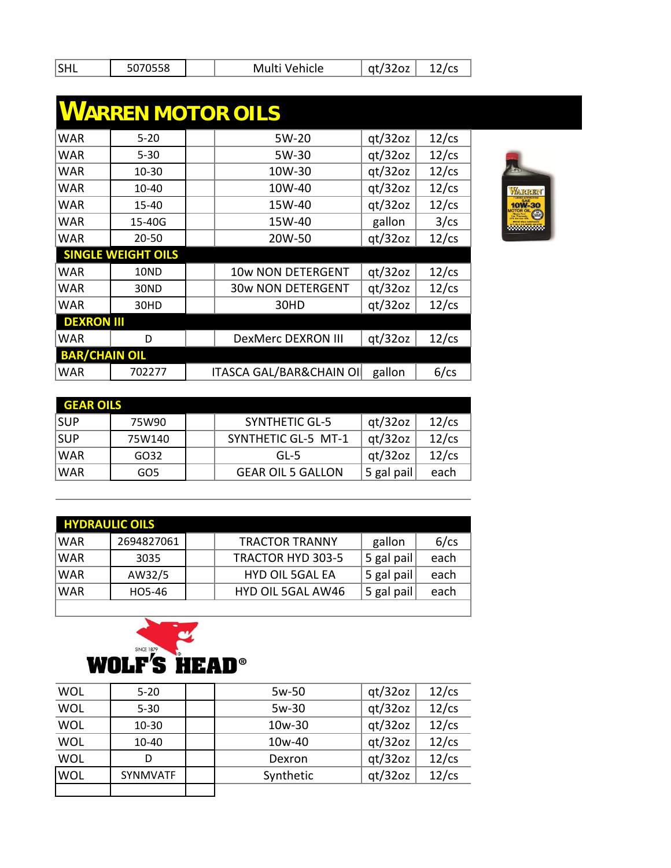| <b>SHL</b> | 5070558 |  | Multi Vehicle | qt/32oz |  |
|------------|---------|--|---------------|---------|--|
|------------|---------|--|---------------|---------|--|

|                      | WARREN MOTOR OILS         |                                    |         |             |
|----------------------|---------------------------|------------------------------------|---------|-------------|
| <b>WAR</b>           | $5 - 20$                  | 5W-20                              | qt/32oz | $12$ /cs    |
| <b>WAR</b>           | $5 - 30$                  | 5W-30                              | qt/32oz | $12$ /cs    |
| <b>WAR</b>           | 10-30                     | 10W-30                             | qt/32oz | $12$ /cs    |
| <b>WAR</b>           | 10-40                     | 10W-40                             | qt/32oz | $12$ /cs    |
| <b>WAR</b>           | 15-40                     | 15W-40                             | qt/32oz | $12$ /cs    |
| <b>WAR</b>           | 15-40G                    | 15W-40                             | gallon  | 3/cs        |
| <b>WAR</b>           | $20 - 50$                 | 20W-50                             | qt/32oz | $12$ /cs    |
|                      | <b>SINGLE WEIGHT OILS</b> |                                    |         |             |
| <b>WAR</b>           | 10ND                      | 10w NON DETERGENT                  | qt/32oz | $12$ /cs    |
| <b>WAR</b>           | 30ND                      | <b>30w NON DETERGENT</b>           | qt/32oz | $12$ /cs    |
| <b>WAR</b>           | 30HD                      | 30HD                               | qt/32oz | $12$ /cs    |
| <b>DEXRON III</b>    |                           |                                    |         |             |
| <b>WAR</b>           | D                         | <b>DexMerc DEXRON III</b>          | qt/32oz | $12$ / $cs$ |
| <b>BAR/CHAIN OIL</b> |                           |                                    |         |             |
| <b>WAR</b>           | 702277                    | <b>ITASCA GAL/BAR&amp;CHAIN OI</b> | gallon  | 6/cs        |



| <b>GEAR OILS</b> |        |                          |            |          |
|------------------|--------|--------------------------|------------|----------|
| <b>SUP</b>       | 75W90  | <b>SYNTHETIC GL-5</b>    | qt/32oz    | $12$ /cs |
| <b>SUP</b>       | 75W140 | SYNTHETIC GL-5 MT-1      | qt/32oz    | $12$ /cs |
| <b>WAR</b>       | GO32   | GL-5                     | qt/32oz    | $12$ /cs |
| <b>WAR</b>       | GO5    | <b>GEAR OIL 5 GALLON</b> | 5 gal pail | each     |

| <b>HYDRAULIC OILS</b> |            |                          |            |            |
|-----------------------|------------|--------------------------|------------|------------|
| <b>WAR</b>            | 2694827061 | <b>TRACTOR TRANNY</b>    | gallon     | $6$ / $cs$ |
| <b>WAR</b>            | 3035       | <b>TRACTOR HYD 303-5</b> | 5 gal pail | each       |
| <b>WAR</b>            | AW32/5     | <b>HYD OIL 5GAL EA</b>   | 5 gal pail | each       |
| <b>WAR</b>            | HO5-46     | HYD OIL 5GAL AW46        | 5 gal pail | each       |
|                       |            |                          |            |            |



| <b>WOL</b> | $5 - 20$        | 5w-50      | qt/32oz | $12$ /cs    |
|------------|-----------------|------------|---------|-------------|
| <b>WOL</b> | $5 - 30$        | $5w-30$    | qt/32oz | $12$ / $cs$ |
| <b>WOL</b> | $10 - 30$       | $10w-30$   | qt/32oz | $12$ / $cs$ |
| <b>WOL</b> | $10 - 40$       | $10w - 40$ | qt/32oz | $12$ /cs    |
| <b>WOL</b> | D               | Dexron     | qt/32oz | $12$ / $cs$ |
| <b>WOL</b> | <b>SYNMVATF</b> | Synthetic  | qt/32oz | $12$ /cs    |
|            |                 |            |         |             |